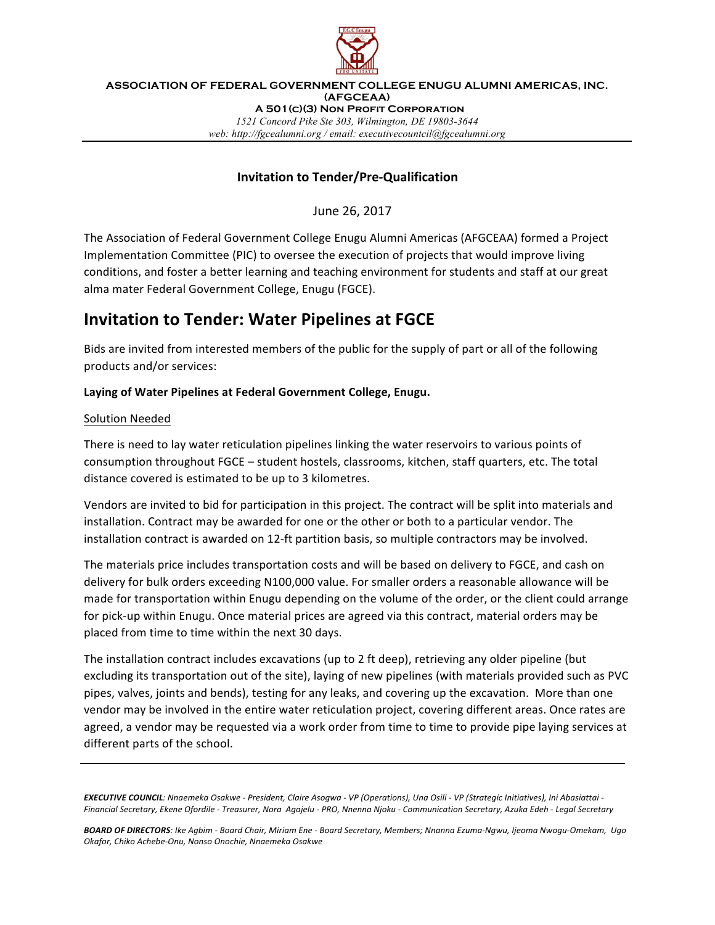

**ASSOCIATION OF FEDERAL GOVERNMENT COLLEGE ENUGU ALUMNI AMERICAS, INC. (AFGCEAA) A 501(c)(3) Non Profit Corporation** *1521 Concord Pike Ste 303, Wilmington, DE 19803-3644 web: http://fgcealumni.org / email: executivecountcil@fgcealumni.org*

### **Invitation to Tender/Pre-Qualification**

June 26, 2017

The Association of Federal Government College Enugu Alumni Americas (AFGCEAA) formed a Project Implementation Committee (PIC) to oversee the execution of projects that would improve living conditions, and foster a better learning and teaching environment for students and staff at our great alma mater Federal Government College, Enugu (FGCE).

# **Invitation to Tender: Water Pipelines at FGCE**

Bids are invited from interested members of the public for the supply of part or all of the following products and/or services:

#### Laying of Water Pipelines at Federal Government College, Enugu.

#### Solution Needed

There is need to lay water reticulation pipelines linking the water reservoirs to various points of consumption throughout FGCE - student hostels, classrooms, kitchen, staff quarters, etc. The total distance covered is estimated to be up to 3 kilometres.

Vendors are invited to bid for participation in this project. The contract will be split into materials and installation. Contract may be awarded for one or the other or both to a particular vendor. The installation contract is awarded on 12-ft partition basis, so multiple contractors may be involved.

The materials price includes transportation costs and will be based on delivery to FGCE, and cash on delivery for bulk orders exceeding N100,000 value. For smaller orders a reasonable allowance will be made for transportation within Enugu depending on the volume of the order, or the client could arrange for pick-up within Enugu. Once material prices are agreed via this contract, material orders may be placed from time to time within the next 30 days.

The installation contract includes excavations (up to 2 ft deep), retrieving any older pipeline (but excluding its transportation out of the site), laying of new pipelines (with materials provided such as PVC pipes, valves, joints and bends), testing for any leaks, and covering up the excavation. More than one vendor may be involved in the entire water reticulation project, covering different areas. Once rates are agreed, a vendor may be requested via a work order from time to time to provide pipe laying services at different parts of the school.

**EXECUTIVE COUNCIL**: Nnaemeka Osakwe - President, Claire Asogwa - VP (Operations), Una Osili - VP (Strategic Initiatives), Ini Abasiattai -*Financial Secretary, Ekene Ofordile - Treasurer, Nora Agajelu - PRO, Nnenna Njoku - Communication Secretary, Azuka Edeh - Legal Secretary*

*BOARD OF DIRECTORS: Ike Agbim - Board Chair, Miriam Ene - Board Secretary, Members; Nnanna Ezuma-Ngwu, Ijeoma Nwogu-Omekam, Ugo Okafor, Chiko Achebe-Onu, Nonso Onochie, Nnaemeka Osakwe*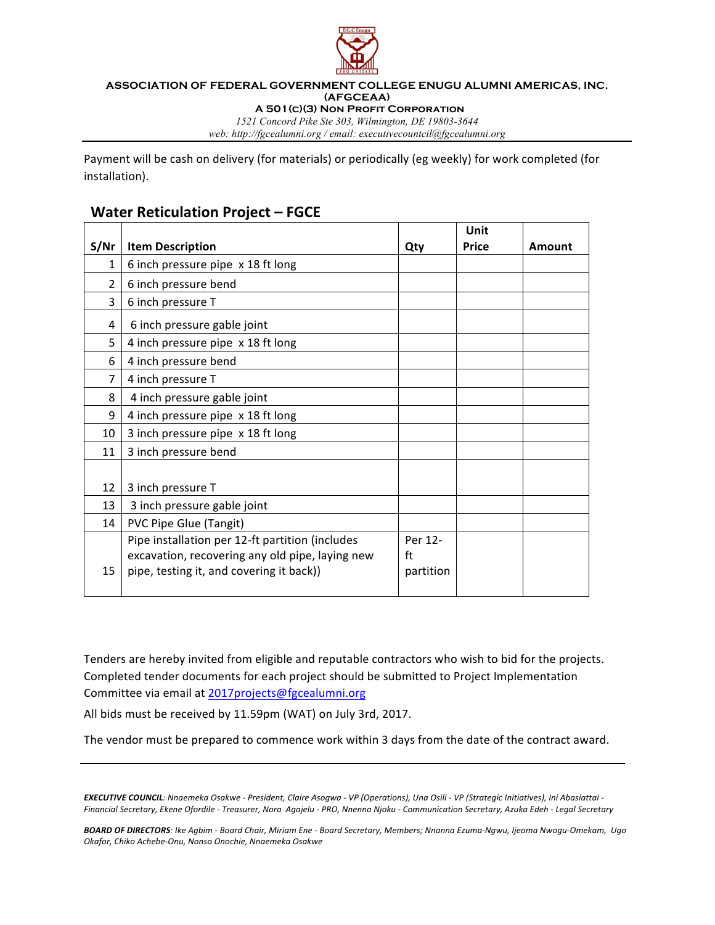

#### **ASSOCIATION OF FEDERAL GOVERNMENT COLLEGE ENUGU ALUMNI AMERICAS, INC. (AFGCEAA) A 501(c)(3) Non Profit Corporation**

*1521 Concord Pike Ste 303, Wilmington, DE 19803-3644*

*web: http://fgcealumni.org / email: executivecountcil@fgcealumni.org*

Payment will be cash on delivery (for materials) or periodically (eg weekly) for work completed (for installation).

## **Water Reticulation Project - FGCE**

|      |                                                 |           | Unit  |        |
|------|-------------------------------------------------|-----------|-------|--------|
| S/Nr | <b>Item Description</b>                         | Qty       | Price | Amount |
| 1    | 6 inch pressure pipe x 18 ft long               |           |       |        |
| 2    | 6 inch pressure bend                            |           |       |        |
| 3    | 6 inch pressure T                               |           |       |        |
| 4    | 6 inch pressure gable joint                     |           |       |        |
| 5    | 4 inch pressure pipe x 18 ft long               |           |       |        |
| 6    | 4 inch pressure bend                            |           |       |        |
| 7    | 4 inch pressure T                               |           |       |        |
| 8    | 4 inch pressure gable joint                     |           |       |        |
| 9    | 4 inch pressure pipe x 18 ft long               |           |       |        |
| 10   | 3 inch pressure pipe x 18 ft long               |           |       |        |
| 11   | 3 inch pressure bend                            |           |       |        |
|      |                                                 |           |       |        |
| 12   | 3 inch pressure T                               |           |       |        |
| 13   | 3 inch pressure gable joint                     |           |       |        |
| 14   | PVC Pipe Glue (Tangit)                          |           |       |        |
|      | Pipe installation per 12-ft partition (includes | Per 12-   |       |        |
|      | excavation, recovering any old pipe, laying new | ft        |       |        |
| 15   | pipe, testing it, and covering it back))        | partition |       |        |
|      |                                                 |           |       |        |

Tenders are hereby invited from eligible and reputable contractors who wish to bid for the projects. Completed tender documents for each project should be submitted to Project Implementation Committee via email at 2017projects@fgcealumni.org

All bids must be received by 11.59pm (WAT) on July 3rd, 2017.

The vendor must be prepared to commence work within 3 days from the date of the contract award.

**EXECUTIVE COUNCIL**: Nnaemeka Osakwe - President, Claire Asogwa - VP (Operations), Una Osili - VP (Strategic Initiatives), Ini Abasiattai -Financial Secretary, Ekene Ofordile - Treasurer, Nora Agajelu - PRO, Nnenna Njoku - Communication Secretary, Azuka Edeh - Legal Secretary

BOARD OF DIRECTORS: Ike Agbim - Board Chair, Miriam Ene - Board Secretary, Members; Nnanna Ezuma-Ngwu, Ijeoma Nwogu-Omekam, Ugo *Okafor, Chiko Achebe-Onu, Nonso Onochie, Nnaemeka Osakwe*